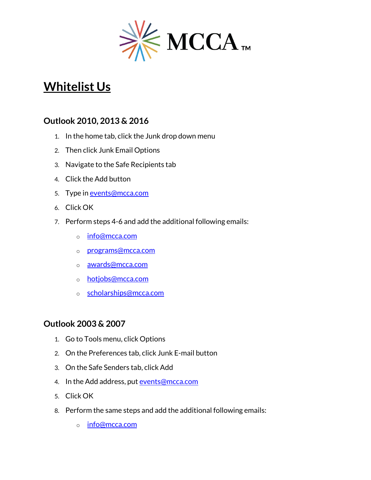

# **Whitelist Us**

## **Outlook 2010, 2013 & 2016**

- 1. In the home tab, click the Junk drop down menu
- 2. Then click Junk Email Options
- 3. Navigate to the Safe Recipients tab
- 4. Click the Add button
- 5. Type in [events@mcca.com](mailto:events@mcca.com)
- 6. Click OK
- 7. Perform steps 4-6 and add the additional following emails:
	- o [info@mcca.com](mailto:info@mcca.com)
	- o [programs@mcca.com](mailto:programs@mcca.com)
	- o [awards@mcca.com](mailto:awards@mcca.com)
	- o [hotjobs@mcca.com](mailto:hotjobs@mcca.com)
	- o [scholarships@mcca.com](mailto:scholarships@mcca.com)

## **Outlook 2003 & 2007**

- 1. Go to Tools menu, click Options
- 2. On the Preferences tab, click Junk E-mail button
- 3. On the Safe Senders tab, click Add
- 4. In the Add address, put [events@mcca.com](mailto:events@mcca.com)
- 5. Click OK
- 8. Perform the same steps and add the additional following emails:
	- o [info@mcca.com](mailto:info@mcca.com)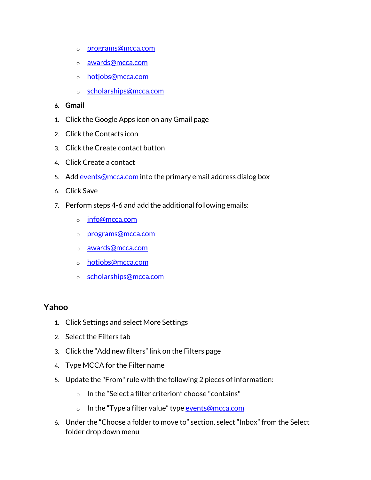- o [programs@mcca.com](mailto:programs@mcca.com)
- o [awards@mcca.com](mailto:awards@mcca.com)
- o [hotjobs@mcca.com](mailto:hotjobs@mcca.com)
- o [scholarships@mcca.com](mailto:scholarships@mcca.com)
- **6. Gmail**
- 1. Click the Google Apps icon on any Gmail page
- 2. Click the Contacts icon
- 3. Click the Create contact button
- 4. Click Create a contact
- 5. Add [events@mcca.com](mailto:events@mcca.com) into the primary email address dialog box
- 6. Click Save
- 7. Perform steps 4-6 and add the additional following emails:
	- o [info@mcca.com](mailto:info@mcca.com)
	- o [programs@mcca.com](mailto:programs@mcca.com)
	- o [awards@mcca.com](mailto:awards@mcca.com)
	- o [hotjobs@mcca.com](mailto:hotjobs@mcca.com)
	- o [scholarships@mcca.com](mailto:scholarships@mcca.com)

### **Yahoo**

- 1. Click Settings and select More Settings
- 2. Select the Filters tab
- 3. Click the "Add new filters" link on the Filters page
- 4. Type MCCA for the Filter name
- 5. Update the "From" rule with the following 2 pieces of information:
	- o In the "Select a filter criterion" choose "contains"
	- o In the "Type a filter value" type events@mcca.com
- 6. Under the "Choose a folder to move to" section, select "Inbox" from the Select folder drop down menu